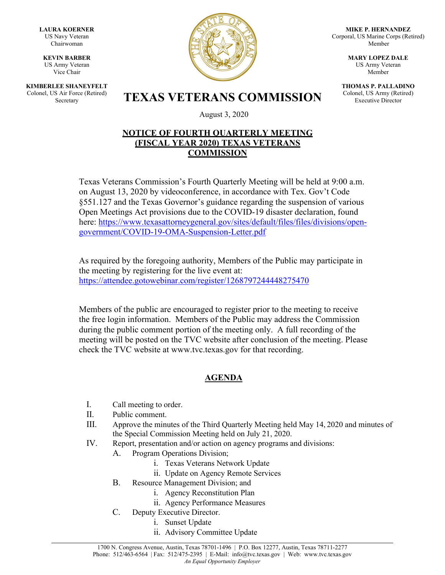**LAURA KOERNER** US Navy Veteran Chairwoman

**KEVIN BARBER** US Army Veteran Vice Chair

**KIMBERLEE SHANEYFELT** Colonel, US Air Force (Retired)



**MIKE P. HERNANDEZ** Corporal, US Marine Corps (Retired) Member

> **MARY LOPEZ DALE** US Army Veteran Member

**THOMAS P. PALLADINO** Colonel, US Army (Retired) Executive Director

S Air Force (Retired) **TEXAS VETERANS COMMISSION** 

August 3, 2020

## **NOTICE OF FOURTH QUARTERLY MEETING (FISCAL YEAR 2020) TEXAS VETERANS COMMISSION**

Texas Veterans Commission's Fourth Quarterly Meeting will be held at 9:00 a.m. on August 13, 2020 by videoconference, in accordance with Tex. Gov't Code §551.127 and the Texas Governor's guidance regarding the suspension of various Open Meetings Act provisions due to the COVID-19 disaster declaration, found here: [https://www.texasattorneygeneral.gov/sites/default/files/files/divisions/open](https://www.texasattorneygeneral.gov/sites/default/files/files/divisions/open-government/COVID-19-OMA-Suspension-Letter.pdf)[government/COVID-19-OMA-Suspension-Letter.pdf](https://www.texasattorneygeneral.gov/sites/default/files/files/divisions/open-government/COVID-19-OMA-Suspension-Letter.pdf)

As required by the foregoing authority, Members of the Public may participate in the meeting by registering for the live event at: <https://attendee.gotowebinar.com/register/1268797244448275470>

Members of the public are encouraged to register prior to the meeting to receive the free login information. Members of the Public may address the Commission during the public comment portion of the meeting only. A full recording of the meeting will be posted on the TVC website after conclusion of the meeting. Please check the TVC website at [www.tvc.texas.gov](http://www.tvc.texas.gov/) for that recording.

## **AGENDA**

- I. Call meeting to order.
- II. Public comment.
- III. Approve the minutes of the Third Quarterly Meeting held May 14, 2020 and minutes of the Special Commission Meeting held on July 21, 2020.
- IV. Report, presentation and/or action on agency programs and divisions:
	- A. Program Operations Division;
		- i. Texas Veterans Network Update
		- ii. Update on Agency Remote Services
	- B. Resource Management Division; and
		- i. Agency Reconstitution Plan
		- ii. Agency Performance Measures
	- C. Deputy Executive Director.
		- i. Sunset Update
		- ii. Advisory Committee Update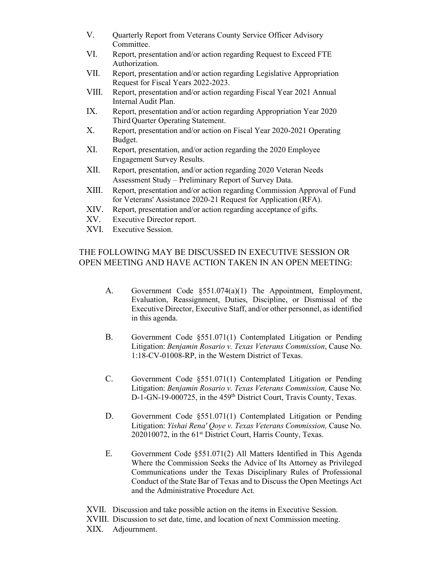| V.    | Quarterly Report from Veterans County Service Officer Advisory<br>Committee.                                                                |
|-------|---------------------------------------------------------------------------------------------------------------------------------------------|
| VI.   | Report, presentation and/or action regarding Request to Exceed FTE<br>Authorization.                                                        |
| VII.  | Report, presentation and/or action regarding Legislative Appropriation<br>Request for Fiscal Years 2022-2023.                               |
| VIII. | Report, presentation and/or action regarding Fiscal Year 2021 Annual<br>Internal Audit Plan.                                                |
| IX.   | Report, presentation and/or action regarding Appropriation Year 2020<br>Third Quarter Operating Statement.                                  |
| X.    | Report, presentation and/or action on Fiscal Year 2020-2021 Operating<br>Budget.                                                            |
| XI.   | Report, presentation, and/or action regarding the 2020 Employee<br><b>Engagement Survey Results.</b>                                        |
| XII.  | Report, presentation, and/or action regarding 2020 Veteran Needs<br>Assessment Study - Preliminary Report of Survey Data.                   |
| XIII. | Report, presentation and/or action regarding Commission Approval of Fund<br>for Veterans' Assistance 2020-21 Request for Application (RFA). |
| XIV.  | Report, presentation and/or action regarding acceptance of gifts.                                                                           |
| XV.   | Executive Director report.                                                                                                                  |
| XVI.  | <b>Executive Session.</b>                                                                                                                   |

## THE FOLLOWING MAY BE DISCUSSED IN EXECUTIVE SESSION OR OPEN MEETING AND HAVE ACTION TAKEN IN AN OPEN MEETING:

- A. Government Code §551.074(a)(1) The Appointment, Employment, Evaluation, Reassignment, Duties, Discipline, or Dismissal of the Executive Director, Executive Staff, and/or other personnel, as identified in this agenda.
- B. Government Code §551.071(1) Contemplated Litigation or Pending Litigation: *Benjamin Rosario v. Texas Veterans Commission*, Cause No. 1:18-CV-01008-RP, in the Western District of Texas.
- C. Government Code §551.071(1) Contemplated Litigation or Pending Litigation: *Benjamin Rosario v. Texas Veterans Commission,* Cause No. D-1-GN-19-000725, in the 459<sup>th</sup> District Court, Travis County, Texas.
- D. Government Code §551.071(1) Contemplated Litigation or Pending Litigation: *Yishai Rena' Qoye v. Texas Veterans Commission,* Cause No. 202010072, in the 61<sup>st</sup> District Court, Harris County, Texas.
- E. Government Code §551.071(2) All Matters Identified in This Agenda Where the Commission Seeks the Advice of Its Attorney as Privileged Communications under the Texas Disciplinary Rules of Professional Conduct of the State Bar of Texas and to Discuss the Open Meetings Act and the Administrative Procedure Act.
- XVII. Discussion and take possible action on the items in Executive Session.
- XVIII. Discussion to set date, time, and location of next Commission meeting.
- XIX. Adjournment.